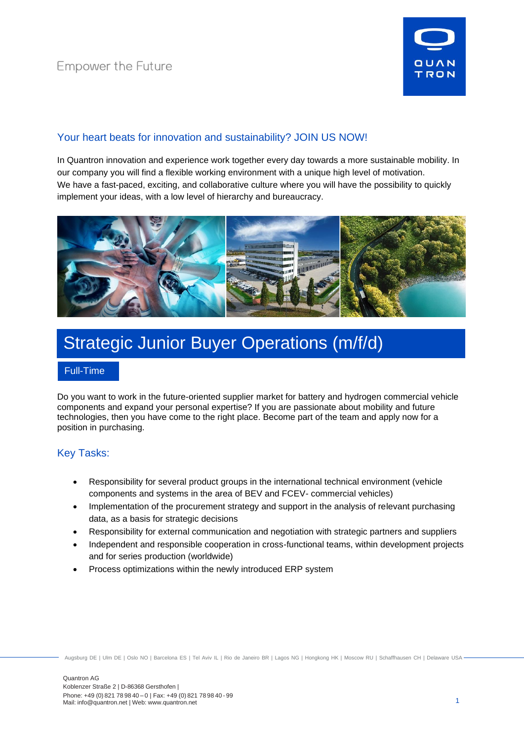

# Your heart beats for innovation and sustainability? JOIN US NOW!

In Quantron innovation and experience work together every day towards a more sustainable mobility. In our company you will find a flexible working environment with a unique high level of motivation. We have a fast-paced, exciting, and collaborative culture where you will have the possibility to quickly implement your ideas, with a low level of hierarchy and bureaucracy.



# Strategic Junior Buyer Operations (m/f/d)

#### Full-Time

Do you want to work in the future-oriented supplier market for battery and hydrogen commercial vehicle components and expand your personal expertise? If you are passionate about mobility and future technologies, then you have come to the right place. Become part of the team and apply now for a position in purchasing.

### Key Tasks:

- Responsibility for several product groups in the international technical environment (vehicle components and systems in the area of BEV and FCEV- commercial vehicles)
- Implementation of the procurement strategy and support in the analysis of relevant purchasing data, as a basis for strategic decisions
- Responsibility for external communication and negotiation with strategic partners and suppliers
- Independent and responsible cooperation in cross-functional teams, within development projects and for series production (worldwide)
- Process optimizations within the newly introduced ERP system

Augsburg DE | Ulm DE | Oslo NO | Barcelona ES | Tel Aviv IL | Rio de Janeiro BR | Lagos NG | Hongkong HK | Moscow RU | Schaffhausen CH | Delaware USA